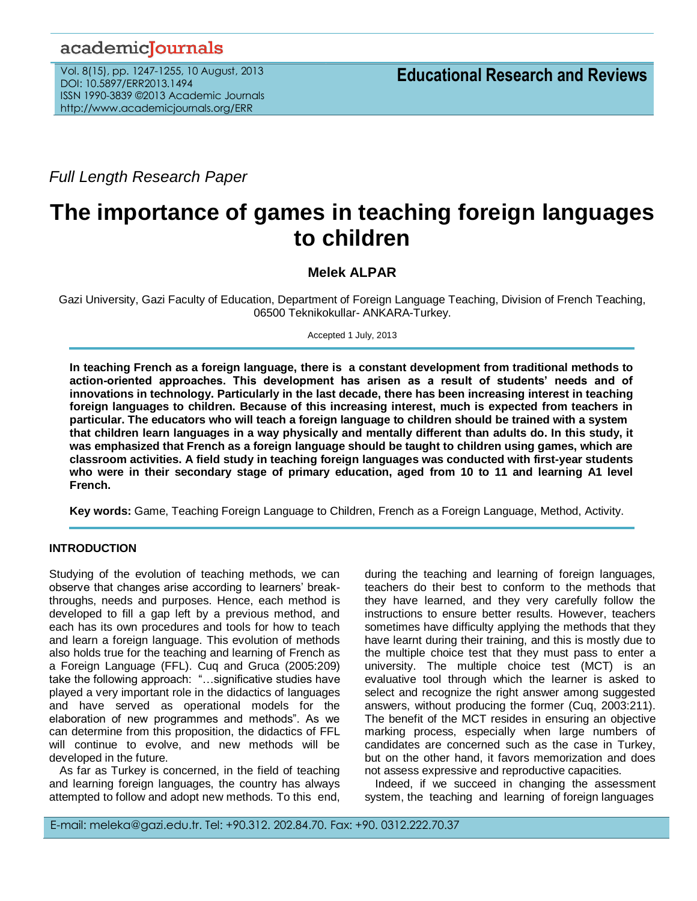# academicJournals

Vol. 8(15), pp. 1247-1255, 10 August, 2013 DOI: 10.5897/ERR2013.1494 ISSN 1990-3839 ©2013 Academic Journals http://www.academicjournals.org/ERR

*Full Length Research Paper*

# **The importance of games in teaching foreign languages to children**

**Melek ALPAR**

Gazi University, Gazi Faculty of Education, Department of Foreign Language Teaching, Division of French Teaching, 06500 Teknikokullar- ANKARA-Turkey.

Accepted 1 July, 2013

**In teaching French as a foreign language, there is a constant development from traditional methods to action-oriented approaches. This development has arisen as a result of students' needs and of innovations in technology. Particularly in the last decade, there has been increasing interest in teaching foreign languages to children. Because of this increasing interest, much is expected from teachers in particular. The educators who will teach a foreign language to children should be trained with a system that children learn languages in a way physically and mentally different than adults do. In this study, it was emphasized that French as a foreign language should be taught to children using games, which are classroom activities. A field study in teaching foreign languages was conducted with first-year students who were in their secondary stage of primary education, aged from 10 to 11 and learning A1 level French.**

**Key words:** Game, Teaching Foreign Language to Children, French as a Foreign Language, Method, Activity.

#### **INTRODUCTION**

Studying of the evolution of teaching methods, we can observe that changes arise according to learners' breakthroughs, needs and purposes. Hence, each method is developed to fill a gap left by a previous method, and each has its own procedures and tools for how to teach and learn a foreign language. This evolution of methods also holds true for the teaching and learning of French as a Foreign Language (FFL). Cuq and Gruca (2005:209) take the following approach: "…significative studies have played a very important role in the didactics of languages and have served as operational models for the elaboration of new programmes and methods". As we can determine from this proposition, the didactics of FFL will continue to evolve, and new methods will be developed in the future.

As far as Turkey is concerned, in the field of teaching and learning foreign languages, the country has always attempted to follow and adopt new methods. To this end, during the teaching and learning of foreign languages, teachers do their best to conform to the methods that they have learned, and they very carefully follow the instructions to ensure better results. However, teachers sometimes have difficulty applying the methods that they have learnt during their training, and this is mostly due to the multiple choice test that they must pass to enter a university. The multiple choice test (MCT) is an evaluative tool through which the learner is asked to select and recognize the right answer among suggested answers, without producing the former (Cuq, 2003:211). The benefit of the MCT resides in ensuring an objective marking process, especially when large numbers of candidates are concerned such as the case in Turkey, but on the other hand, it favors memorization and does not assess expressive and reproductive capacities.

Indeed, if we succeed in changing the assessment system, the teaching and learning of foreign languages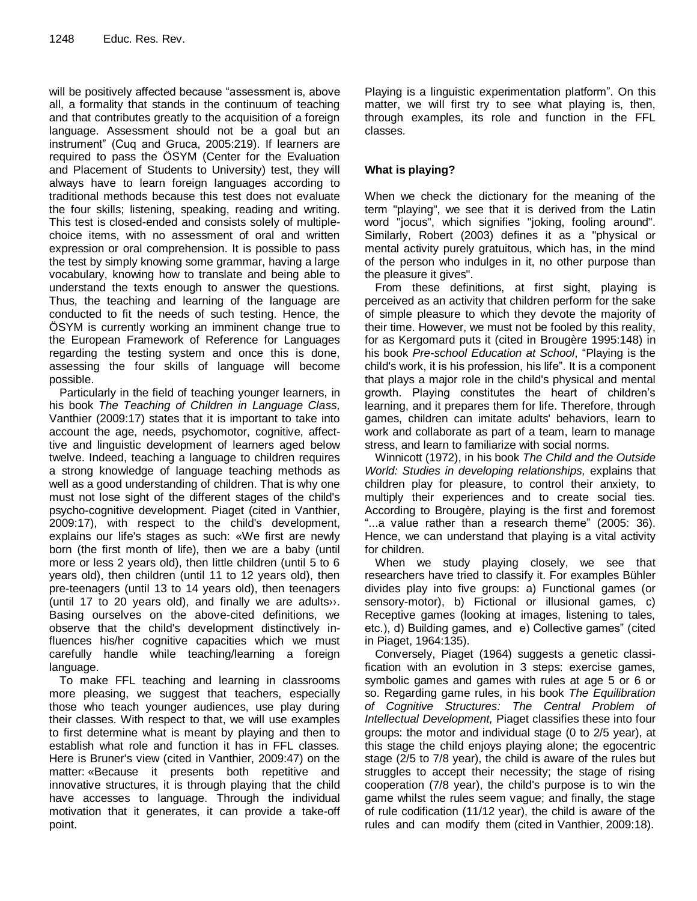will be positively affected because "assessment is, above all, a formality that stands in the continuum of teaching and that contributes greatly to the acquisition of a foreign language. Assessment should not be a goal but an instrument" (Cuq and Gruca, 2005:219). If learners are required to pass the ÖSYM (Center for the Evaluation and Placement of Students to University) test, they will always have to learn foreign languages according to traditional methods because this test does not evaluate the four skills; listening, speaking, reading and writing. This test is closed-ended and consists solely of multiplechoice items, with no assessment of oral and written expression or oral comprehension. It is possible to pass the test by simply knowing some grammar, having a large vocabulary, knowing how to translate and being able to understand the texts enough to answer the questions. Thus, the teaching and learning of the language are conducted to fit the needs of such testing. Hence, the ÖSYM is currently working an imminent change true to the European Framework of Reference for Languages regarding the testing system and once this is done, assessing the four skills of language will become possible.

Particularly in the field of teaching younger learners, in his book *The Teaching of Children in Language Class,* Vanthier (2009:17) states that it is important to take into account the age, needs, psychomotor, cognitive, affecttive and linguistic development of learners aged below twelve. Indeed, teaching a language to children requires a strong knowledge of language teaching methods as well as a good understanding of children. That is why one must not lose sight of the different stages of the child's psycho-cognitive development. Piaget (cited in Vanthier, 2009:17), with respect to the child's development, explains our life's stages as such: «We first are newly born (the first month of life), then we are a baby (until more or less 2 years old), then little children (until 5 to 6 years old), then children (until 11 to 12 years old), then pre-teenagers (until 13 to 14 years old), then teenagers (until 17 to 20 years old), and finally we are adults››. Basing ourselves on the above-cited definitions, we observe that the child's development distinctively influences his/her cognitive capacities which we must carefully handle while teaching/learning a foreign language.

To make FFL teaching and learning in classrooms more pleasing, we suggest that teachers, especially those who teach younger audiences, use play during their classes. With respect to that, we will use examples to first determine what is meant by playing and then to establish what role and function it has in FFL classes. Here is Bruner's view (cited in Vanthier, 2009:47) on the matter: «Because it presents both repetitive and innovative structures, it is through playing that the child have accesses to language. Through the individual motivation that it generates, it can provide a take-off point.

Playing is a linguistic experimentation platform". On this matter, we will first try to see what playing is, then, through examples, its role and function in the FFL classes.

## **What is playing?**

When we check the dictionary for the meaning of the term "playing", we see that it is derived from the Latin word "jocus", which signifies "joking, fooling around". Similarly, Robert (2003) defines it as a "physical or mental activity purely gratuitous, which has, in the mind of the person who indulges in it, no other purpose than the pleasure it gives".

From these definitions, at first sight, playing is perceived as an activity that children perform for the sake of simple pleasure to which they devote the majority of their time. However, we must not be fooled by this reality, for as Kergomard puts it (cited in Brougère 1995:148) in his book *Pre-school Education at School*, "Playing is the child's work, it is his profession, his life". It is a component that plays a major role in the child's physical and mental growth. Playing constitutes the heart of children's learning, and it prepares them for life. Therefore, through games, children can imitate adults' behaviors, learn to work and collaborate as part of a team, learn to manage stress, and learn to familiarize with social norms.

Winnicott (1972), in his book *The Child and the Outside World: Studies in developing relationships,* explains that children play for pleasure, to control their anxiety, to multiply their experiences and to create social ties. According to Brougère, playing is the first and foremost "...a value rather than a research theme" (2005: 36). Hence, we can understand that playing is a vital activity for children.

When we study playing closely, we see that researchers have tried to classify it. For examples Bühler divides play into five groups: a) Functional games (or sensory-motor), b) Fictional or illusional games, c) Receptive games (looking at images, listening to tales, etc.), d) Building games, and e) Collective games" (cited in Piaget, 1964:135).

Conversely, Piaget (1964) suggests a genetic classification with an evolution in 3 steps: exercise games, symbolic games and games with rules at age 5 or 6 or so. Regarding game rules, in his book *The Equilibration of Cognitive Structures: The Central Problem of Intellectual Development,* Piaget classifies these into four groups: the motor and individual stage (0 to 2/5 year), at this stage the child enjoys playing alone; the egocentric stage (2/5 to 7/8 year), the child is aware of the rules but struggles to accept their necessity; the stage of rising cooperation (7/8 year), the child's purpose is to win the game whilst the rules seem vague; and finally, the stage of rule codification (11/12 year), the child is aware of the rules and can modify them (cited in Vanthier, 2009:18).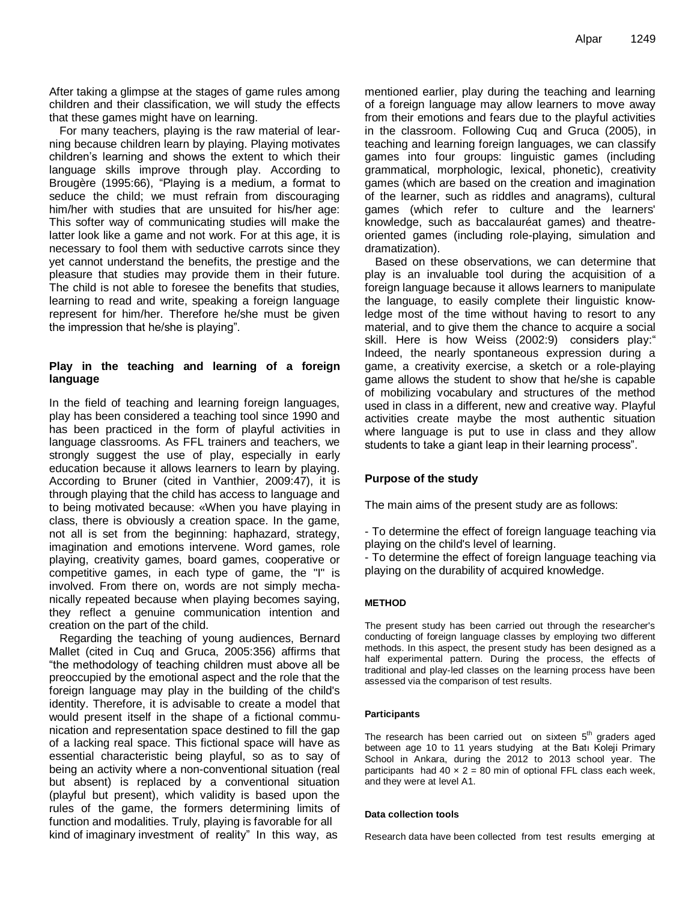After taking a glimpse at the stages of game rules among children and their classification, we will study the effects that these games might have on learning.

For many teachers, playing is the raw material of learning because children learn by playing. Playing motivates children's learning and shows the extent to which their language skills improve through play. According to Brougère (1995:66), "Playing is a medium, a format to seduce the child; we must refrain from discouraging him/her with studies that are unsuited for his/her age: This softer way of communicating studies will make the latter look like a game and not work. For at this age, it is necessary to fool them with seductive carrots since they yet cannot understand the benefits, the prestige and the pleasure that studies may provide them in their future. The child is not able to foresee the benefits that studies, learning to read and write, speaking a foreign language represent for him/her. Therefore he/she must be given the impression that he/she is playing".

### **Play in the teaching and learning of a foreign language**

In the field of teaching and learning foreign languages, play has been considered a teaching tool since 1990 and has been practiced in the form of playful activities in language classrooms. As FFL trainers and teachers, we strongly suggest the use of play, especially in early education because it allows learners to learn by playing. According to Bruner (cited in Vanthier, 2009:47), it is through playing that the child has access to language and to being motivated because: «When you have playing in class, there is obviously a creation space. In the game, not all is set from the beginning: haphazard, strategy, imagination and emotions intervene. Word games, role playing, creativity games, board games, cooperative or competitive games, in each type of game, the "I" is involved. From there on, words are not simply mechanically repeated because when playing becomes saying, they reflect a genuine communication intention and creation on the part of the child.

Regarding the teaching of young audiences, Bernard Mallet (cited in Cuq and Gruca, 2005:356) affirms that "the methodology of teaching children must above all be preoccupied by the emotional aspect and the role that the foreign language may play in the building of the child's identity. Therefore, it is advisable to create a model that would present itself in the shape of a fictional communication and representation space destined to fill the gap of a lacking real space. This fictional space will have as essential characteristic being playful, so as to say of being an activity where a non-conventional situation (real but absent) is replaced by a conventional situation (playful but present), which validity is based upon the rules of the game, the formers determining limits of function and modalities. Truly, playing is favorable for all kind of imaginary investment of reality" In this way, as

mentioned earlier, play during the teaching and learning of a foreign language may allow learners to move away from their emotions and fears due to the playful activities in the classroom. Following Cuq and Gruca (2005), in teaching and learning foreign languages, we can classify games into four groups: linguistic games (including grammatical, morphologic, lexical, phonetic), creativity games (which are based on the creation and imagination of the learner, such as riddles and anagrams), cultural games (which refer to culture and the learners' knowledge, such as baccalauréat games) and theatreoriented games (including role-playing, simulation and dramatization).

Based on these observations, we can determine that play is an invaluable tool during the acquisition of a foreign language because it allows learners to manipulate the language, to easily complete their linguistic knowledge most of the time without having to resort to any material, and to give them the chance to acquire a social skill. Here is how Weiss (2002:9) considers play:" Indeed, the nearly spontaneous expression during a game, a creativity exercise, a sketch or a role-playing game allows the student to show that he/she is capable of mobilizing vocabulary and structures of the method used in class in a different, new and creative way. Playful activities create maybe the most authentic situation where language is put to use in class and they allow students to take a giant leap in their learning process".

## **Purpose of the study**

The main aims of the present study are as follows:

- To determine the effect of foreign language teaching via playing on the child's level of learning.

- To determine the effect of foreign language teaching via playing on the durability of acquired knowledge.

#### **METHOD**

The present study has been carried out through the researcher's conducting of foreign language classes by employing two different methods. In this aspect, the present study has been designed as a half experimental pattern. During the process, the effects of traditional and play-led classes on the learning process have been assessed via the comparison of test results.

#### **Participants**

The research has been carried out on sixteen  $5<sup>th</sup>$  graders aged between age 10 to 11 years studying at the Batı Koleji Primary School in Ankara, during the 2012 to 2013 school year. The participants had  $40 \times 2 = 80$  min of optional FFL class each week, and they were at level A1.

#### **Data collection tools**

Research data have been collected from test results emerging at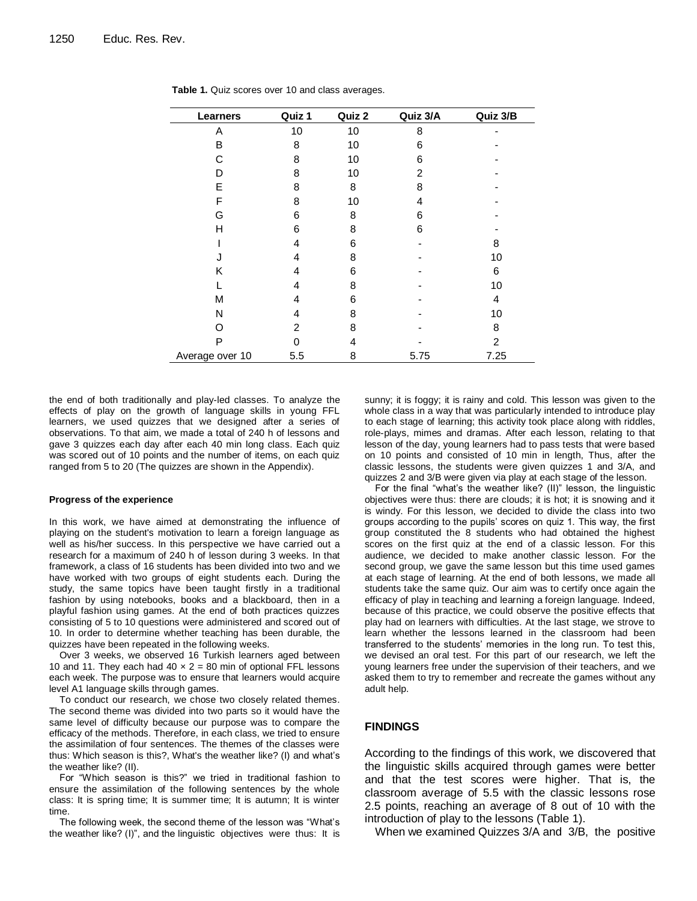| Learners        | Quiz 1 | Quiz 2 | Quiz 3/A | Quiz 3/B       |
|-----------------|--------|--------|----------|----------------|
| A               | 10     | 10     | 8        |                |
| B               | 8      | 10     | 6        |                |
| C               | 8      | 10     | 6        |                |
| D               | 8      | 10     | 2        |                |
| E               | 8      | 8      | 8        |                |
| F               | 8      | 10     | 4        |                |
| G               | 6      | 8      | 6        |                |
| н               | 6      | 8      | 6        |                |
|                 | 4      | 6      |          | 8              |
|                 | 4      | 8      |          | 10             |
| Κ               | 4      | 6      |          | 6              |
|                 | 4      | 8      |          | 10             |
| М               | 4      | 6      |          | 4              |
| N               | 4      | 8      |          | 10             |
| ∩               | 2      | 8      |          | 8              |
| P               | 0      | 4      |          | $\overline{2}$ |
| Average over 10 | 5.5    | 8      | 5.75     | 7.25           |

**Table 1.** Quiz scores over 10 and class averages.

the end of both traditionally and play-led classes. To analyze the effects of play on the growth of language skills in young FFL learners, we used quizzes that we designed after a series of observations. To that aim, we made a total of 240 h of lessons and gave 3 quizzes each day after each 40 min long class. Each quiz was scored out of 10 points and the number of items, on each quiz ranged from 5 to 20 (The quizzes are shown in the Appendix).

#### **Progress of the experience**

In this work, we have aimed at demonstrating the influence of playing on the student's motivation to learn a foreign language as well as his/her success. In this perspective we have carried out a research for a maximum of 240 h of lesson during 3 weeks. In that framework, a class of 16 students has been divided into two and we have worked with two groups of eight students each. During the study, the same topics have been taught firstly in a traditional fashion by using notebooks, books and a blackboard, then in a playful fashion using games. At the end of both practices quizzes consisting of 5 to 10 questions were administered and scored out of 10. In order to determine whether teaching has been durable, the quizzes have been repeated in the following weeks.

Over 3 weeks, we observed 16 Turkish learners aged between 10 and 11. They each had  $40 \times 2 = 80$  min of optional FFL lessons each week. The purpose was to ensure that learners would acquire level A1 language skills through games.

To conduct our research, we chose two closely related themes. The second theme was divided into two parts so it would have the same level of difficulty because our purpose was to compare the efficacy of the methods. Therefore, in each class, we tried to ensure the assimilation of four sentences. The themes of the classes were thus: Which season is this?, What's the weather like? (I) and what's the weather like? (II).

For "Which season is this?" we tried in traditional fashion to ensure the assimilation of the following sentences by the whole class: It is spring time; It is summer time; It is autumn; It is winter time.

The following week, the second theme of the lesson was "What's the weather like? (I)", and the linguistic objectives were thus: It is sunny; it is foggy; it is rainy and cold. This lesson was given to the whole class in a way that was particularly intended to introduce play to each stage of learning; this activity took place along with riddles, role-plays, mimes and dramas. After each lesson, relating to that lesson of the day, young learners had to pass tests that were based on 10 points and consisted of 10 min in length, Thus, after the classic lessons, the students were given quizzes 1 and 3/A, and quizzes 2 and 3/B were given via play at each stage of the lesson.

For the final "what's the weather like? (II)" lesson, the linguistic objectives were thus: there are clouds; it is hot; it is snowing and it is windy. For this lesson, we decided to divide the class into two groups according to the pupils' scores on quiz 1. This way, the first group constituted the 8 students who had obtained the highest scores on the first quiz at the end of a classic lesson. For this audience, we decided to make another classic lesson. For the second group, we gave the same lesson but this time used games at each stage of learning. At the end of both lessons, we made all students take the same quiz. Our aim was to certify once again the efficacy of play in teaching and learning a foreign language. Indeed, because of this practice, we could observe the positive effects that play had on learners with difficulties. At the last stage, we strove to learn whether the lessons learned in the classroom had been transferred to the students' memories in the long run. To test this, we devised an oral test. For this part of our research, we left the young learners free under the supervision of their teachers, and we asked them to try to remember and recreate the games without any adult help.

#### **FINDINGS**

According to the findings of this work, we discovered that the linguistic skills acquired through games were better and that the test scores were higher. That is, the classroom average of 5.5 with the classic lessons rose 2.5 points, reaching an average of 8 out of 10 with the introduction of play to the lessons (Table 1).

When we examined Quizzes 3/A and 3/B, the positive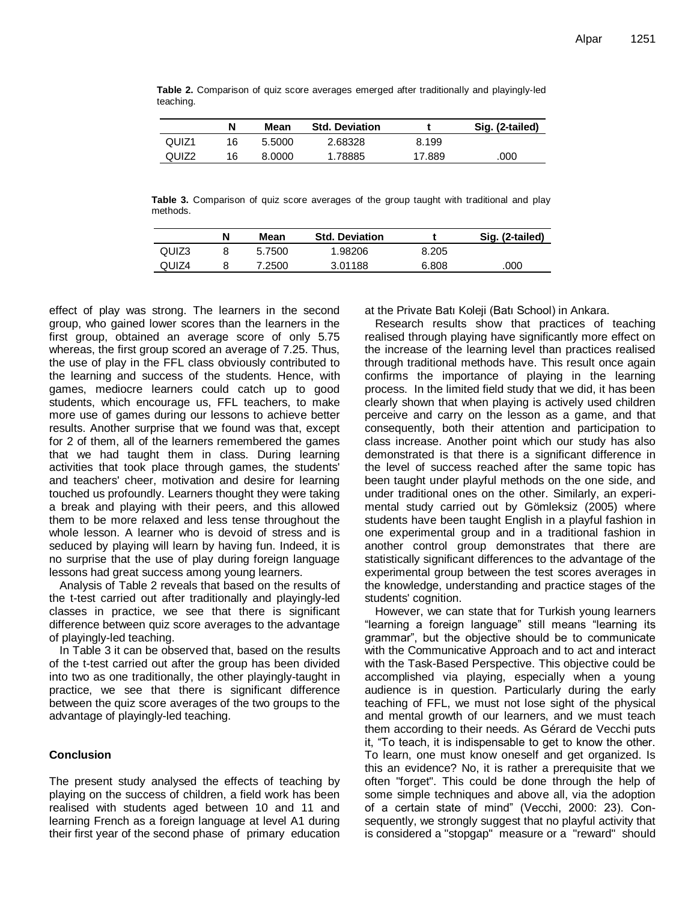|           |  |  |  |  | Table 2. Comparison of quiz score averages emerged after traditionally and playingly-led |
|-----------|--|--|--|--|------------------------------------------------------------------------------------------|
| teaching. |  |  |  |  |                                                                                          |

|                   |    | Mean   | <b>Std. Deviation</b> |        | Sig. (2-tailed) |
|-------------------|----|--------|-----------------------|--------|-----------------|
| QUIZ <sub>1</sub> | 16 | 5.5000 | 2.68328               | 8.199  |                 |
| QUIZ <sub>2</sub> | 16 | 8.0000 | 1.78885               | 17.889 | .000            |

**Table 3.** Comparison of quiz score averages of the group taught with traditional and play methods.

|       | Mean   | <b>Std. Deviation</b> |       | Sig. (2-tailed) |
|-------|--------|-----------------------|-------|-----------------|
| QUIZ3 | 5.7500 | 1.98206               | 8.205 |                 |
| QUIZ4 | 7.2500 | 3.01188               | 6.808 | .000            |

effect of play was strong. The learners in the second group, who gained lower scores than the learners in the first group, obtained an average score of only 5.75 whereas, the first group scored an average of 7.25. Thus, the use of play in the FFL class obviously contributed to the learning and success of the students. Hence, with games, mediocre learners could catch up to good students, which encourage us, FFL teachers, to make more use of games during our lessons to achieve better results. Another surprise that we found was that, except for 2 of them, all of the learners remembered the games that we had taught them in class. During learning activities that took place through games, the students' and teachers' cheer, motivation and desire for learning touched us profoundly. Learners thought they were taking a break and playing with their peers, and this allowed them to be more relaxed and less tense throughout the whole lesson. A learner who is devoid of stress and is seduced by playing will learn by having fun. Indeed, it is no surprise that the use of play during foreign language lessons had great success among young learners.

Analysis of Table 2 reveals that based on the results of the t-test carried out after traditionally and playingly-led classes in practice, we see that there is significant difference between quiz score averages to the advantage of playingly-led teaching.

In Table 3 it can be observed that, based on the results of the t-test carried out after the group has been divided into two as one traditionally, the other playingly-taught in practice, we see that there is significant difference between the quiz score averages of the two groups to the advantage of playingly-led teaching.

#### **Conclusion**

The present study analysed the effects of teaching by playing on the success of children, a field work has been realised with students aged between 10 and 11 and learning French as a foreign language at level A1 during their first year of the second phase of primary education at the Private Batı Koleji (Batı School) in Ankara.

Research results show that practices of teaching realised through playing have significantly more effect on the increase of the learning level than practices realised through traditional methods have. This result once again confirms the importance of playing in the learning process. In the limited field study that we did, it has been clearly shown that when playing is actively used children perceive and carry on the lesson as a game, and that consequently, both their attention and participation to class increase. Another point which our study has also demonstrated is that there is a significant difference in the level of success reached after the same topic has been taught under playful methods on the one side, and under traditional ones on the other. Similarly, an experimental study carried out by Gömleksiz (2005) where students have been taught English in a playful fashion in one experimental group and in a traditional fashion in another control group demonstrates that there are statistically significant differences to the advantage of the experimental group between the test scores averages in the knowledge, understanding and practice stages of the students' cognition.

However, we can state that for Turkish young learners "learning a foreign language" still means "learning its grammar", but the objective should be to communicate with the Communicative Approach and to act and interact with the Task-Based Perspective. This objective could be accomplished via playing, especially when a young audience is in question. Particularly during the early teaching of FFL, we must not lose sight of the physical and mental growth of our learners, and we must teach them according to their needs. As Gérard de Vecchi puts it, "To teach, it is indispensable to get to know the other. To learn, one must know oneself and get organized. Is this an evidence? No, it is rather a prerequisite that we often "forget". This could be done through the help of some simple techniques and above all, via the adoption of a certain state of mind" (Vecchi, 2000: 23). Consequently, we strongly suggest that no playful activity that is considered a "stopgap" measure or a "reward" should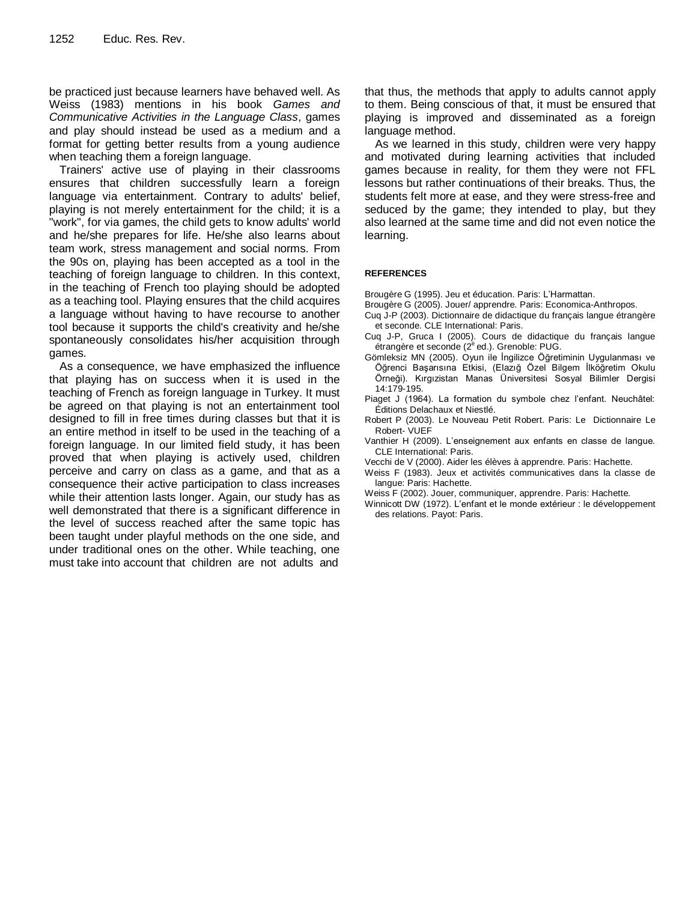be practiced just because learners have behaved well. As Weiss (1983) mentions in his book *Games and Communicative Activities in the Language Class*, games and play should instead be used as a medium and a format for getting better results from a young audience when teaching them a foreign language.

Trainers' active use of playing in their classrooms ensures that children successfully learn a foreign language via entertainment. Contrary to adults' belief, playing is not merely entertainment for the child; it is a "work", for via games, the child gets to know adults' world and he/she prepares for life. He/she also learns about team work, stress management and social norms. From the 90s on, playing has been accepted as a tool in the teaching of foreign language to children. In this context, in the teaching of French too playing should be adopted as a teaching tool. Playing ensures that the child acquires a language without having to have recourse to another tool because it supports the child's creativity and he/she spontaneously consolidates his/her acquisition through games.

As a consequence, we have emphasized the influence that playing has on success when it is used in the teaching of French as foreign language in Turkey. It must be agreed on that playing is not an entertainment tool designed to fill in free times during classes but that it is an entire method in itself to be used in the teaching of a foreign language. In our limited field study, it has been proved that when playing is actively used, children perceive and carry on class as a game, and that as a consequence their active participation to class increases while their attention lasts longer. Again, our study has as well demonstrated that there is a significant difference in the level of success reached after the same topic has been taught under playful methods on the one side, and under traditional ones on the other. While teaching, one must take into account that children are not adults and

that thus, the methods that apply to adults cannot apply to them. Being conscious of that, it must be ensured that playing is improved and disseminated as a foreign language method.

As we learned in this study, children were very happy and motivated during learning activities that included games because in reality, for them they were not FFL lessons but rather continuations of their breaks. Thus, the students felt more at ease, and they were stress-free and seduced by the game; they intended to play, but they also learned at the same time and did not even notice the learning.

#### **REFERENCES**

Brougère G (1995). Jeu et éducation. Paris: L'Harmattan.

- Brougère G (2005). Jouer/ apprendre. Paris: Economica-Anthropos.
- Cuq J-P (2003). Dictionnaire de didactique du français langue étrangère et seconde. CLE International: Paris.
- Cuq J-P, Gruca I (2005). Cours de didactique du français langue étrangère et seconde (2<sup>è</sup> ed.). Grenoble: PUG.
- Gömleksiz MN (2005). Oyun ile İngilizce Öğretiminin Uygulanması ve Öğrenci Başarısına Etkisi, (Elazığ Özel Bilgem İlköğretim Okulu Örneği). Kırgızistan Manas Üniversitesi Sosyal Bilimler Dergisi 14:179-195.
- Piaget J (1964). La formation du symbole chez l'enfant. Neuchâtel: Éditions Delachaux et Niestlé.
- Robert P (2003). Le Nouveau Petit Robert. Paris: Le Dictionnaire Le Robert- VUEF
- Vanthier H (2009). L'enseignement aux enfants en classe de langue. CLE International: Paris.
- Vecchi de V (2000). Aider les élèves à apprendre. Paris: Hachette.
- Weiss F (1983). Jeux et activités communicatives dans la classe de langue: Paris: Hachette.
- Weiss F (2002). Jouer, communiquer, apprendre. Paris: Hachette.
- Winnicott DW (1972). L'enfant et le monde extérieur : le développement des relations. Payot: Paris.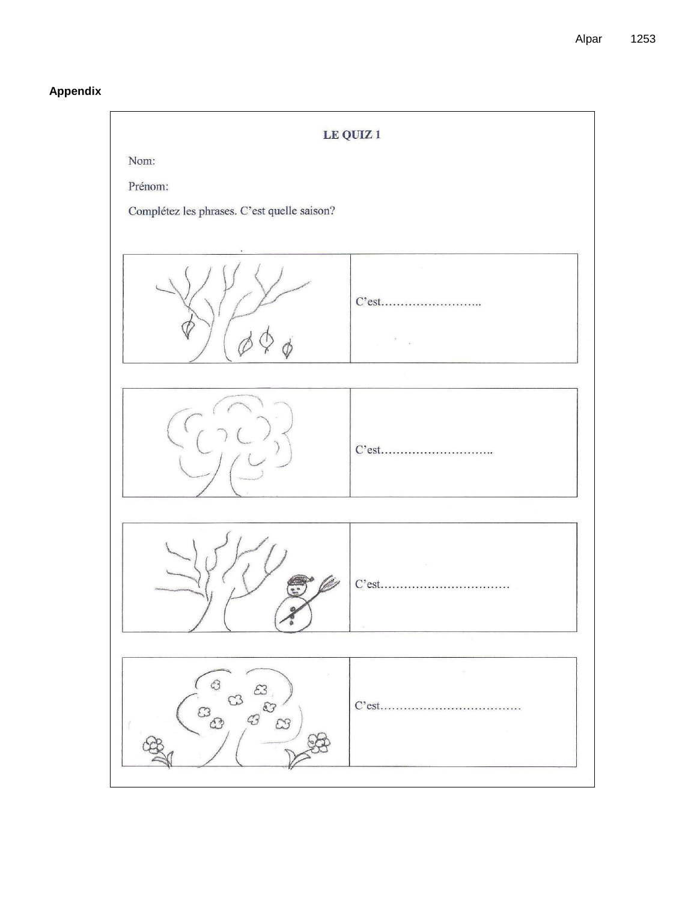# Appendix

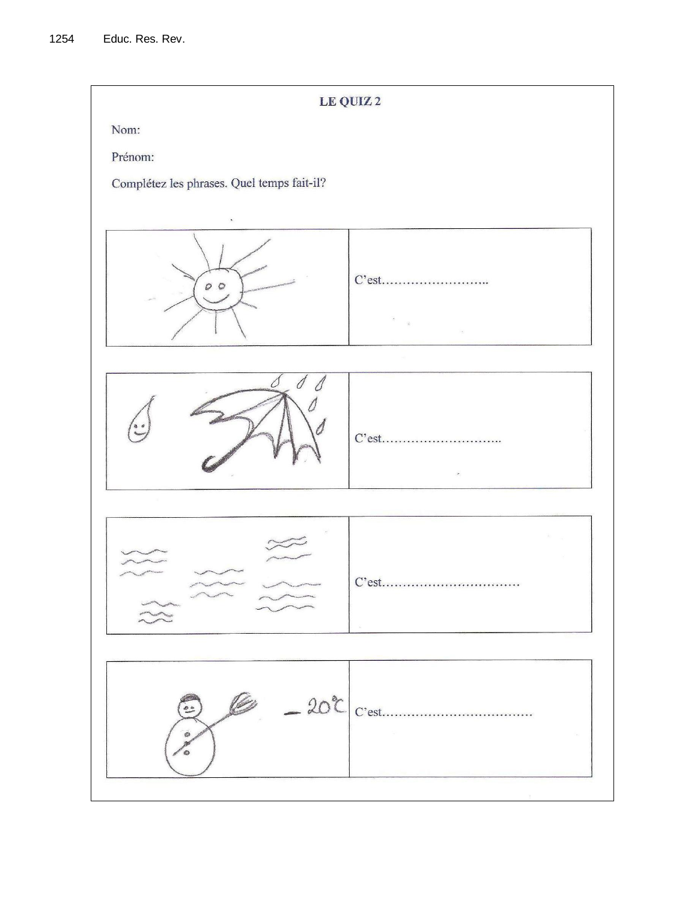